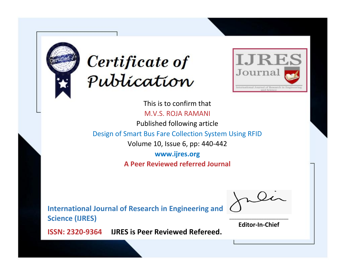



This is to confirm that M.V.S. ROJA RAMANI Published following article

Design of Smart Bus Fare Collection System Using RFID

Volume 10, Issue 6, pp: 440-442

**www.ijres.org A Peer Reviewed referred Journal**

**International Journal of Research in Engineering and Science (IJRES)**

\_\_\_\_\_\_\_\_\_\_\_\_\_\_\_\_\_\_\_\_\_\_\_\_ **Editor-In-Chief**

**Journal.**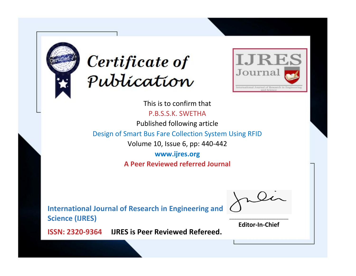



This is to confirm that P.B.S.S.K. SWETHA

Published following article

Design of Smart Bus Fare Collection System Using RFID

Volume 10, Issue 6, pp: 440-442

**www.ijres.org A Peer Reviewed referred Journal**

**International Journal of Research in Engineering and Science (IJRES)**

\_\_\_\_\_\_\_\_\_\_\_\_\_\_\_\_\_\_\_\_\_\_\_\_ **Editor-In-Chief**

**Journal.**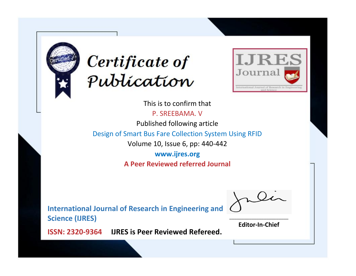



This is to confirm that

P. SREEBAMA. V

Published following article

Design of Smart Bus Fare Collection System Using RFID

Volume 10, Issue 6, pp: 440-442

**www.ijres.org A Peer Reviewed referred Journal**

**International Journal of Research in Engineering and Science (IJRES)**

\_\_\_\_\_\_\_\_\_\_\_\_\_\_\_\_\_\_\_\_\_\_\_\_ **Editor-In-Chief**

**Journal.**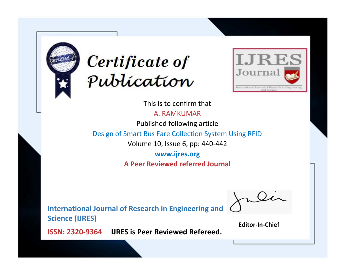



This is to confirm that

A. RAMKUMAR

Published following article

Design of Smart Bus Fare Collection System Using RFID

Volume 10, Issue 6, pp: 440-442

**www.ijres.org A Peer Reviewed referred Journal**

**International Journal of Research in Engineering and Science (IJRES)**

\_\_\_\_\_\_\_\_\_\_\_\_\_\_\_\_\_\_\_\_\_\_\_\_ **Editor-In-Chief**

**Journal.**